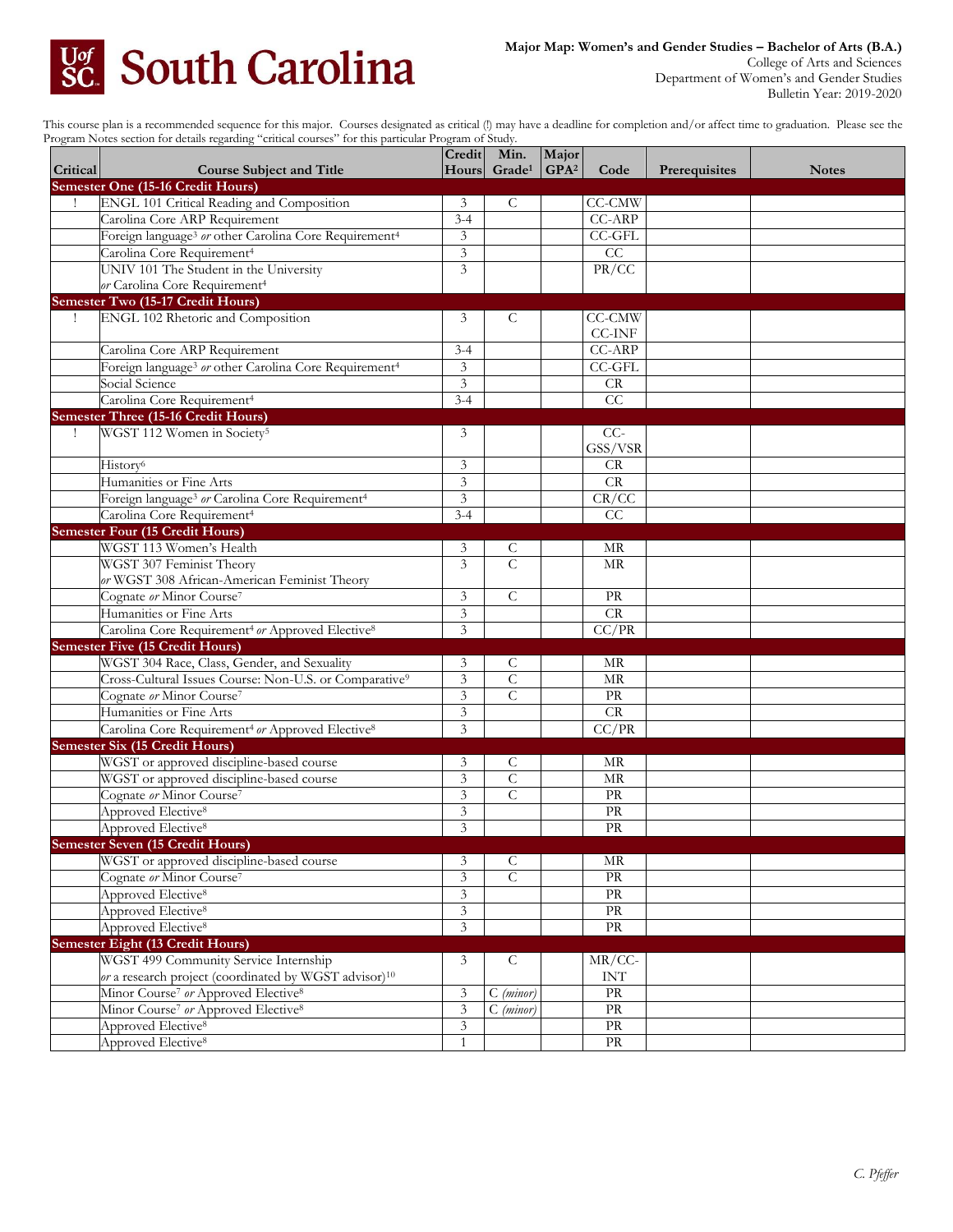

College of Arts and Sciences Department of Women's and Gender Studies Bulletin Year: 2019-2020

This course plan is a recommended sequence for this major. Courses designated as critical (!) may have a deadline for completion and/or affect time to graduation. Please see the Program Notes section for details regarding "critical courses" for this particular Program of Study.

| Semester One (15-16 Credit Hours)<br>ENGL 101 Critical Reading and Composition<br>C<br>CC-CMW<br>3<br>Carolina Core ARP Requirement<br>$3 - 4$<br>CC-ARP<br>$\mathfrak{Z}$<br>Foreign language <sup>3</sup> or other Carolina Core Requirement <sup>4</sup><br>CC-GFL<br>CC<br>Carolina Core Requirement <sup>4</sup><br>$\mathfrak z$<br>PR/CC<br>UNIV 101 The Student in the University<br>3<br>or Carolina Core Requirement <sup>4</sup><br>Semester Two (15-17 Credit Hours)<br><b>ENGL 102 Rhetoric and Composition</b><br>$\mathsf{C}$<br><b>CC-CMW</b><br>3<br>CC-INF<br><b>CC-ARP</b><br>$3 - 4$<br>Carolina Core ARP Requirement<br>$\mathfrak{Z}$<br>Foreign language <sup>3</sup> or other Carolina Core Requirement <sup>4</sup><br>CC-GFL<br>Social Science<br>3<br>CR<br>Carolina Core Requirement <sup>4</sup><br>CC<br>$3 - 4$<br><b>Semester Three (15-16 Credit Hours)</b><br>WGST 112 Women in Society <sup>5</sup><br>3<br>$CC-$<br>$\mathbf{I}$<br>GSS/VSR<br>History <sup>6</sup><br>CR<br>3<br>$\mathfrak{Z}$<br>Humanities or Fine Arts<br>CR<br>Foreign language <sup>3</sup> or Carolina Core Requirement <sup>4</sup><br>3<br>CR/CC<br>$3 - 4$<br>CC<br>Carolina Core Requirement <sup>4</sup><br><b>Semester Four (15 Credit Hours)</b><br>WGST 113 Women's Health<br>3<br>C<br>МR<br>$\overline{C}$<br>$\overline{3}$<br>WGST 307 Feminist Theory<br>MR<br>or WGST 308 African-American Feminist Theory<br>$\overline{C}$<br>Cognate or Minor Course <sup>7</sup><br>$\mathfrak z$<br>PR<br>Humanities or Fine Arts<br>3<br>CR<br>3<br>Carolina Core Requirement <sup>4</sup> or Approved Elective <sup>8</sup><br>CC/PR<br><b>Semester Five (15 Credit Hours)</b><br>WGST 304 Race, Class, Gender, and Sexuality<br>3<br>MR<br>C<br>$\overline{\mathbf{3}}$<br>$\overline{C}$<br>Cross-Cultural Issues Course: Non-U.S. or Comparative <sup>9</sup><br>$\operatorname{MR}$<br>$\mathfrak{Z}$<br>$\mathcal{C}$<br>Cognate or Minor Course <sup>7</sup><br><b>PR</b><br>$\overline{\mathbf{3}}$<br>Humanities or Fine Arts<br>CR<br>$\mathfrak{Z}$<br>CC/PR<br>Carolina Core Requirement <sup>4</sup> or Approved Elective <sup>8</sup><br><b>Semester Six (15 Credit Hours)</b><br>WGST or approved discipline-based course<br>3<br>C<br>MR<br>$\overline{\mathbf{3}}$<br>$\overline{C}$<br>WGST or approved discipline-based course<br>MR<br>Cognate or Minor Course <sup>7</sup><br>$\overline{C}$<br>3<br>PR<br>Approved Elective <sup>8</sup><br>3<br>PR<br>3<br>Approved Elective <sup>8</sup><br>PR<br><b>Semester Seven (15 Credit Hours)</b><br>WGST or approved discipline-based course<br>$\overline{C}$<br>$\mathfrak{Z}$<br>MR<br>$\overline{\mathbf{3}}$<br>$\overline{C}$<br>Cognate or Minor Course <sup>7</sup><br>PR<br>Approved Elective <sup>8</sup><br>$\ensuremath{\mathfrak{Z}}$<br>PR<br>Approved Elective <sup>8</sup><br>$\overline{3}$<br>PR<br>$\overline{\mathbf{3}}$<br>Approved Elective <sup>8</sup><br>PR<br><b>Semester Eight (13 Credit Hours)</b><br>WGST 499 Community Service Internship<br>$MR/CC$ -<br>3<br>$\mathsf{C}$<br>or a research project (coordinated by WGST advisor) <sup>10</sup><br>$\ensuremath{\text{INT}}$<br>Minor Course <sup>7</sup> or Approved Elective <sup>8</sup><br>PR<br>3<br>$C$ (minor)<br>Minor Course <sup>7</sup> or Approved Elective <sup>8</sup><br>$\mathfrak{Z}$<br>$C$ (minor)<br>$\rm PR$<br>$\ensuremath{\mathfrak{Z}}$<br>PR<br>Approved Elective <sup>8</sup> | Critical | <b>Course Subject and Title</b> | Credit       | Min.<br>Hours Grade <sup>1</sup> | Major<br>GPA <sup>2</sup> | Code                              | Prerequisites | <b>Notes</b> |
|----------------------------------------------------------------------------------------------------------------------------------------------------------------------------------------------------------------------------------------------------------------------------------------------------------------------------------------------------------------------------------------------------------------------------------------------------------------------------------------------------------------------------------------------------------------------------------------------------------------------------------------------------------------------------------------------------------------------------------------------------------------------------------------------------------------------------------------------------------------------------------------------------------------------------------------------------------------------------------------------------------------------------------------------------------------------------------------------------------------------------------------------------------------------------------------------------------------------------------------------------------------------------------------------------------------------------------------------------------------------------------------------------------------------------------------------------------------------------------------------------------------------------------------------------------------------------------------------------------------------------------------------------------------------------------------------------------------------------------------------------------------------------------------------------------------------------------------------------------------------------------------------------------------------------------------------------------------------------------------------------------------------------------------------------------------------------------------------------------------------------------------------------------------------------------------------------------------------------------------------------------------------------------------------------------------------------------------------------------------------------------------------------------------------------------------------------------------------------------------------------------------------------------------------------------------------------------------------------------------------------------------------------------------------------------------------------------------------------------------------------------------------------------------------------------------------------------------------------------------------------------------------------------------------------------------------------------------------------------------------------------------------------------------------------------------------------------------------------------------------------------------------------------------------------------------------------------------------------------------------------------------------------------------------------------------------------------------------------------------------------------------------------------------------------------------------------------------------------|----------|---------------------------------|--------------|----------------------------------|---------------------------|-----------------------------------|---------------|--------------|
|                                                                                                                                                                                                                                                                                                                                                                                                                                                                                                                                                                                                                                                                                                                                                                                                                                                                                                                                                                                                                                                                                                                                                                                                                                                                                                                                                                                                                                                                                                                                                                                                                                                                                                                                                                                                                                                                                                                                                                                                                                                                                                                                                                                                                                                                                                                                                                                                                                                                                                                                                                                                                                                                                                                                                                                                                                                                                                                                                                                                                                                                                                                                                                                                                                                                                                                                                                                                                                                                            |          |                                 |              |                                  |                           |                                   |               |              |
|                                                                                                                                                                                                                                                                                                                                                                                                                                                                                                                                                                                                                                                                                                                                                                                                                                                                                                                                                                                                                                                                                                                                                                                                                                                                                                                                                                                                                                                                                                                                                                                                                                                                                                                                                                                                                                                                                                                                                                                                                                                                                                                                                                                                                                                                                                                                                                                                                                                                                                                                                                                                                                                                                                                                                                                                                                                                                                                                                                                                                                                                                                                                                                                                                                                                                                                                                                                                                                                                            |          |                                 |              |                                  |                           |                                   |               |              |
|                                                                                                                                                                                                                                                                                                                                                                                                                                                                                                                                                                                                                                                                                                                                                                                                                                                                                                                                                                                                                                                                                                                                                                                                                                                                                                                                                                                                                                                                                                                                                                                                                                                                                                                                                                                                                                                                                                                                                                                                                                                                                                                                                                                                                                                                                                                                                                                                                                                                                                                                                                                                                                                                                                                                                                                                                                                                                                                                                                                                                                                                                                                                                                                                                                                                                                                                                                                                                                                                            |          |                                 |              |                                  |                           |                                   |               |              |
|                                                                                                                                                                                                                                                                                                                                                                                                                                                                                                                                                                                                                                                                                                                                                                                                                                                                                                                                                                                                                                                                                                                                                                                                                                                                                                                                                                                                                                                                                                                                                                                                                                                                                                                                                                                                                                                                                                                                                                                                                                                                                                                                                                                                                                                                                                                                                                                                                                                                                                                                                                                                                                                                                                                                                                                                                                                                                                                                                                                                                                                                                                                                                                                                                                                                                                                                                                                                                                                                            |          |                                 |              |                                  |                           |                                   |               |              |
|                                                                                                                                                                                                                                                                                                                                                                                                                                                                                                                                                                                                                                                                                                                                                                                                                                                                                                                                                                                                                                                                                                                                                                                                                                                                                                                                                                                                                                                                                                                                                                                                                                                                                                                                                                                                                                                                                                                                                                                                                                                                                                                                                                                                                                                                                                                                                                                                                                                                                                                                                                                                                                                                                                                                                                                                                                                                                                                                                                                                                                                                                                                                                                                                                                                                                                                                                                                                                                                                            |          |                                 |              |                                  |                           |                                   |               |              |
|                                                                                                                                                                                                                                                                                                                                                                                                                                                                                                                                                                                                                                                                                                                                                                                                                                                                                                                                                                                                                                                                                                                                                                                                                                                                                                                                                                                                                                                                                                                                                                                                                                                                                                                                                                                                                                                                                                                                                                                                                                                                                                                                                                                                                                                                                                                                                                                                                                                                                                                                                                                                                                                                                                                                                                                                                                                                                                                                                                                                                                                                                                                                                                                                                                                                                                                                                                                                                                                                            |          |                                 |              |                                  |                           |                                   |               |              |
|                                                                                                                                                                                                                                                                                                                                                                                                                                                                                                                                                                                                                                                                                                                                                                                                                                                                                                                                                                                                                                                                                                                                                                                                                                                                                                                                                                                                                                                                                                                                                                                                                                                                                                                                                                                                                                                                                                                                                                                                                                                                                                                                                                                                                                                                                                                                                                                                                                                                                                                                                                                                                                                                                                                                                                                                                                                                                                                                                                                                                                                                                                                                                                                                                                                                                                                                                                                                                                                                            |          |                                 |              |                                  |                           |                                   |               |              |
|                                                                                                                                                                                                                                                                                                                                                                                                                                                                                                                                                                                                                                                                                                                                                                                                                                                                                                                                                                                                                                                                                                                                                                                                                                                                                                                                                                                                                                                                                                                                                                                                                                                                                                                                                                                                                                                                                                                                                                                                                                                                                                                                                                                                                                                                                                                                                                                                                                                                                                                                                                                                                                                                                                                                                                                                                                                                                                                                                                                                                                                                                                                                                                                                                                                                                                                                                                                                                                                                            |          |                                 |              |                                  |                           |                                   |               |              |
|                                                                                                                                                                                                                                                                                                                                                                                                                                                                                                                                                                                                                                                                                                                                                                                                                                                                                                                                                                                                                                                                                                                                                                                                                                                                                                                                                                                                                                                                                                                                                                                                                                                                                                                                                                                                                                                                                                                                                                                                                                                                                                                                                                                                                                                                                                                                                                                                                                                                                                                                                                                                                                                                                                                                                                                                                                                                                                                                                                                                                                                                                                                                                                                                                                                                                                                                                                                                                                                                            |          |                                 |              |                                  |                           |                                   |               |              |
|                                                                                                                                                                                                                                                                                                                                                                                                                                                                                                                                                                                                                                                                                                                                                                                                                                                                                                                                                                                                                                                                                                                                                                                                                                                                                                                                                                                                                                                                                                                                                                                                                                                                                                                                                                                                                                                                                                                                                                                                                                                                                                                                                                                                                                                                                                                                                                                                                                                                                                                                                                                                                                                                                                                                                                                                                                                                                                                                                                                                                                                                                                                                                                                                                                                                                                                                                                                                                                                                            |          |                                 |              |                                  |                           |                                   |               |              |
|                                                                                                                                                                                                                                                                                                                                                                                                                                                                                                                                                                                                                                                                                                                                                                                                                                                                                                                                                                                                                                                                                                                                                                                                                                                                                                                                                                                                                                                                                                                                                                                                                                                                                                                                                                                                                                                                                                                                                                                                                                                                                                                                                                                                                                                                                                                                                                                                                                                                                                                                                                                                                                                                                                                                                                                                                                                                                                                                                                                                                                                                                                                                                                                                                                                                                                                                                                                                                                                                            |          |                                 |              |                                  |                           |                                   |               |              |
|                                                                                                                                                                                                                                                                                                                                                                                                                                                                                                                                                                                                                                                                                                                                                                                                                                                                                                                                                                                                                                                                                                                                                                                                                                                                                                                                                                                                                                                                                                                                                                                                                                                                                                                                                                                                                                                                                                                                                                                                                                                                                                                                                                                                                                                                                                                                                                                                                                                                                                                                                                                                                                                                                                                                                                                                                                                                                                                                                                                                                                                                                                                                                                                                                                                                                                                                                                                                                                                                            |          |                                 |              |                                  |                           |                                   |               |              |
|                                                                                                                                                                                                                                                                                                                                                                                                                                                                                                                                                                                                                                                                                                                                                                                                                                                                                                                                                                                                                                                                                                                                                                                                                                                                                                                                                                                                                                                                                                                                                                                                                                                                                                                                                                                                                                                                                                                                                                                                                                                                                                                                                                                                                                                                                                                                                                                                                                                                                                                                                                                                                                                                                                                                                                                                                                                                                                                                                                                                                                                                                                                                                                                                                                                                                                                                                                                                                                                                            |          |                                 |              |                                  |                           |                                   |               |              |
|                                                                                                                                                                                                                                                                                                                                                                                                                                                                                                                                                                                                                                                                                                                                                                                                                                                                                                                                                                                                                                                                                                                                                                                                                                                                                                                                                                                                                                                                                                                                                                                                                                                                                                                                                                                                                                                                                                                                                                                                                                                                                                                                                                                                                                                                                                                                                                                                                                                                                                                                                                                                                                                                                                                                                                                                                                                                                                                                                                                                                                                                                                                                                                                                                                                                                                                                                                                                                                                                            |          |                                 |              |                                  |                           |                                   |               |              |
|                                                                                                                                                                                                                                                                                                                                                                                                                                                                                                                                                                                                                                                                                                                                                                                                                                                                                                                                                                                                                                                                                                                                                                                                                                                                                                                                                                                                                                                                                                                                                                                                                                                                                                                                                                                                                                                                                                                                                                                                                                                                                                                                                                                                                                                                                                                                                                                                                                                                                                                                                                                                                                                                                                                                                                                                                                                                                                                                                                                                                                                                                                                                                                                                                                                                                                                                                                                                                                                                            |          |                                 |              |                                  |                           |                                   |               |              |
|                                                                                                                                                                                                                                                                                                                                                                                                                                                                                                                                                                                                                                                                                                                                                                                                                                                                                                                                                                                                                                                                                                                                                                                                                                                                                                                                                                                                                                                                                                                                                                                                                                                                                                                                                                                                                                                                                                                                                                                                                                                                                                                                                                                                                                                                                                                                                                                                                                                                                                                                                                                                                                                                                                                                                                                                                                                                                                                                                                                                                                                                                                                                                                                                                                                                                                                                                                                                                                                                            |          |                                 |              |                                  |                           |                                   |               |              |
|                                                                                                                                                                                                                                                                                                                                                                                                                                                                                                                                                                                                                                                                                                                                                                                                                                                                                                                                                                                                                                                                                                                                                                                                                                                                                                                                                                                                                                                                                                                                                                                                                                                                                                                                                                                                                                                                                                                                                                                                                                                                                                                                                                                                                                                                                                                                                                                                                                                                                                                                                                                                                                                                                                                                                                                                                                                                                                                                                                                                                                                                                                                                                                                                                                                                                                                                                                                                                                                                            |          |                                 |              |                                  |                           |                                   |               |              |
|                                                                                                                                                                                                                                                                                                                                                                                                                                                                                                                                                                                                                                                                                                                                                                                                                                                                                                                                                                                                                                                                                                                                                                                                                                                                                                                                                                                                                                                                                                                                                                                                                                                                                                                                                                                                                                                                                                                                                                                                                                                                                                                                                                                                                                                                                                                                                                                                                                                                                                                                                                                                                                                                                                                                                                                                                                                                                                                                                                                                                                                                                                                                                                                                                                                                                                                                                                                                                                                                            |          |                                 |              |                                  |                           |                                   |               |              |
|                                                                                                                                                                                                                                                                                                                                                                                                                                                                                                                                                                                                                                                                                                                                                                                                                                                                                                                                                                                                                                                                                                                                                                                                                                                                                                                                                                                                                                                                                                                                                                                                                                                                                                                                                                                                                                                                                                                                                                                                                                                                                                                                                                                                                                                                                                                                                                                                                                                                                                                                                                                                                                                                                                                                                                                                                                                                                                                                                                                                                                                                                                                                                                                                                                                                                                                                                                                                                                                                            |          |                                 |              |                                  |                           |                                   |               |              |
|                                                                                                                                                                                                                                                                                                                                                                                                                                                                                                                                                                                                                                                                                                                                                                                                                                                                                                                                                                                                                                                                                                                                                                                                                                                                                                                                                                                                                                                                                                                                                                                                                                                                                                                                                                                                                                                                                                                                                                                                                                                                                                                                                                                                                                                                                                                                                                                                                                                                                                                                                                                                                                                                                                                                                                                                                                                                                                                                                                                                                                                                                                                                                                                                                                                                                                                                                                                                                                                                            |          |                                 |              |                                  |                           |                                   |               |              |
|                                                                                                                                                                                                                                                                                                                                                                                                                                                                                                                                                                                                                                                                                                                                                                                                                                                                                                                                                                                                                                                                                                                                                                                                                                                                                                                                                                                                                                                                                                                                                                                                                                                                                                                                                                                                                                                                                                                                                                                                                                                                                                                                                                                                                                                                                                                                                                                                                                                                                                                                                                                                                                                                                                                                                                                                                                                                                                                                                                                                                                                                                                                                                                                                                                                                                                                                                                                                                                                                            |          |                                 |              |                                  |                           |                                   |               |              |
|                                                                                                                                                                                                                                                                                                                                                                                                                                                                                                                                                                                                                                                                                                                                                                                                                                                                                                                                                                                                                                                                                                                                                                                                                                                                                                                                                                                                                                                                                                                                                                                                                                                                                                                                                                                                                                                                                                                                                                                                                                                                                                                                                                                                                                                                                                                                                                                                                                                                                                                                                                                                                                                                                                                                                                                                                                                                                                                                                                                                                                                                                                                                                                                                                                                                                                                                                                                                                                                                            |          |                                 |              |                                  |                           |                                   |               |              |
|                                                                                                                                                                                                                                                                                                                                                                                                                                                                                                                                                                                                                                                                                                                                                                                                                                                                                                                                                                                                                                                                                                                                                                                                                                                                                                                                                                                                                                                                                                                                                                                                                                                                                                                                                                                                                                                                                                                                                                                                                                                                                                                                                                                                                                                                                                                                                                                                                                                                                                                                                                                                                                                                                                                                                                                                                                                                                                                                                                                                                                                                                                                                                                                                                                                                                                                                                                                                                                                                            |          |                                 |              |                                  |                           |                                   |               |              |
|                                                                                                                                                                                                                                                                                                                                                                                                                                                                                                                                                                                                                                                                                                                                                                                                                                                                                                                                                                                                                                                                                                                                                                                                                                                                                                                                                                                                                                                                                                                                                                                                                                                                                                                                                                                                                                                                                                                                                                                                                                                                                                                                                                                                                                                                                                                                                                                                                                                                                                                                                                                                                                                                                                                                                                                                                                                                                                                                                                                                                                                                                                                                                                                                                                                                                                                                                                                                                                                                            |          |                                 |              |                                  |                           |                                   |               |              |
|                                                                                                                                                                                                                                                                                                                                                                                                                                                                                                                                                                                                                                                                                                                                                                                                                                                                                                                                                                                                                                                                                                                                                                                                                                                                                                                                                                                                                                                                                                                                                                                                                                                                                                                                                                                                                                                                                                                                                                                                                                                                                                                                                                                                                                                                                                                                                                                                                                                                                                                                                                                                                                                                                                                                                                                                                                                                                                                                                                                                                                                                                                                                                                                                                                                                                                                                                                                                                                                                            |          |                                 |              |                                  |                           |                                   |               |              |
|                                                                                                                                                                                                                                                                                                                                                                                                                                                                                                                                                                                                                                                                                                                                                                                                                                                                                                                                                                                                                                                                                                                                                                                                                                                                                                                                                                                                                                                                                                                                                                                                                                                                                                                                                                                                                                                                                                                                                                                                                                                                                                                                                                                                                                                                                                                                                                                                                                                                                                                                                                                                                                                                                                                                                                                                                                                                                                                                                                                                                                                                                                                                                                                                                                                                                                                                                                                                                                                                            |          |                                 |              |                                  |                           |                                   |               |              |
|                                                                                                                                                                                                                                                                                                                                                                                                                                                                                                                                                                                                                                                                                                                                                                                                                                                                                                                                                                                                                                                                                                                                                                                                                                                                                                                                                                                                                                                                                                                                                                                                                                                                                                                                                                                                                                                                                                                                                                                                                                                                                                                                                                                                                                                                                                                                                                                                                                                                                                                                                                                                                                                                                                                                                                                                                                                                                                                                                                                                                                                                                                                                                                                                                                                                                                                                                                                                                                                                            |          |                                 |              |                                  |                           |                                   |               |              |
|                                                                                                                                                                                                                                                                                                                                                                                                                                                                                                                                                                                                                                                                                                                                                                                                                                                                                                                                                                                                                                                                                                                                                                                                                                                                                                                                                                                                                                                                                                                                                                                                                                                                                                                                                                                                                                                                                                                                                                                                                                                                                                                                                                                                                                                                                                                                                                                                                                                                                                                                                                                                                                                                                                                                                                                                                                                                                                                                                                                                                                                                                                                                                                                                                                                                                                                                                                                                                                                                            |          |                                 |              |                                  |                           |                                   |               |              |
|                                                                                                                                                                                                                                                                                                                                                                                                                                                                                                                                                                                                                                                                                                                                                                                                                                                                                                                                                                                                                                                                                                                                                                                                                                                                                                                                                                                                                                                                                                                                                                                                                                                                                                                                                                                                                                                                                                                                                                                                                                                                                                                                                                                                                                                                                                                                                                                                                                                                                                                                                                                                                                                                                                                                                                                                                                                                                                                                                                                                                                                                                                                                                                                                                                                                                                                                                                                                                                                                            |          |                                 |              |                                  |                           |                                   |               |              |
|                                                                                                                                                                                                                                                                                                                                                                                                                                                                                                                                                                                                                                                                                                                                                                                                                                                                                                                                                                                                                                                                                                                                                                                                                                                                                                                                                                                                                                                                                                                                                                                                                                                                                                                                                                                                                                                                                                                                                                                                                                                                                                                                                                                                                                                                                                                                                                                                                                                                                                                                                                                                                                                                                                                                                                                                                                                                                                                                                                                                                                                                                                                                                                                                                                                                                                                                                                                                                                                                            |          |                                 |              |                                  |                           |                                   |               |              |
|                                                                                                                                                                                                                                                                                                                                                                                                                                                                                                                                                                                                                                                                                                                                                                                                                                                                                                                                                                                                                                                                                                                                                                                                                                                                                                                                                                                                                                                                                                                                                                                                                                                                                                                                                                                                                                                                                                                                                                                                                                                                                                                                                                                                                                                                                                                                                                                                                                                                                                                                                                                                                                                                                                                                                                                                                                                                                                                                                                                                                                                                                                                                                                                                                                                                                                                                                                                                                                                                            |          |                                 |              |                                  |                           |                                   |               |              |
|                                                                                                                                                                                                                                                                                                                                                                                                                                                                                                                                                                                                                                                                                                                                                                                                                                                                                                                                                                                                                                                                                                                                                                                                                                                                                                                                                                                                                                                                                                                                                                                                                                                                                                                                                                                                                                                                                                                                                                                                                                                                                                                                                                                                                                                                                                                                                                                                                                                                                                                                                                                                                                                                                                                                                                                                                                                                                                                                                                                                                                                                                                                                                                                                                                                                                                                                                                                                                                                                            |          |                                 |              |                                  |                           |                                   |               |              |
|                                                                                                                                                                                                                                                                                                                                                                                                                                                                                                                                                                                                                                                                                                                                                                                                                                                                                                                                                                                                                                                                                                                                                                                                                                                                                                                                                                                                                                                                                                                                                                                                                                                                                                                                                                                                                                                                                                                                                                                                                                                                                                                                                                                                                                                                                                                                                                                                                                                                                                                                                                                                                                                                                                                                                                                                                                                                                                                                                                                                                                                                                                                                                                                                                                                                                                                                                                                                                                                                            |          |                                 |              |                                  |                           |                                   |               |              |
|                                                                                                                                                                                                                                                                                                                                                                                                                                                                                                                                                                                                                                                                                                                                                                                                                                                                                                                                                                                                                                                                                                                                                                                                                                                                                                                                                                                                                                                                                                                                                                                                                                                                                                                                                                                                                                                                                                                                                                                                                                                                                                                                                                                                                                                                                                                                                                                                                                                                                                                                                                                                                                                                                                                                                                                                                                                                                                                                                                                                                                                                                                                                                                                                                                                                                                                                                                                                                                                                            |          |                                 |              |                                  |                           |                                   |               |              |
|                                                                                                                                                                                                                                                                                                                                                                                                                                                                                                                                                                                                                                                                                                                                                                                                                                                                                                                                                                                                                                                                                                                                                                                                                                                                                                                                                                                                                                                                                                                                                                                                                                                                                                                                                                                                                                                                                                                                                                                                                                                                                                                                                                                                                                                                                                                                                                                                                                                                                                                                                                                                                                                                                                                                                                                                                                                                                                                                                                                                                                                                                                                                                                                                                                                                                                                                                                                                                                                                            |          |                                 |              |                                  |                           |                                   |               |              |
|                                                                                                                                                                                                                                                                                                                                                                                                                                                                                                                                                                                                                                                                                                                                                                                                                                                                                                                                                                                                                                                                                                                                                                                                                                                                                                                                                                                                                                                                                                                                                                                                                                                                                                                                                                                                                                                                                                                                                                                                                                                                                                                                                                                                                                                                                                                                                                                                                                                                                                                                                                                                                                                                                                                                                                                                                                                                                                                                                                                                                                                                                                                                                                                                                                                                                                                                                                                                                                                                            |          |                                 |              |                                  |                           |                                   |               |              |
|                                                                                                                                                                                                                                                                                                                                                                                                                                                                                                                                                                                                                                                                                                                                                                                                                                                                                                                                                                                                                                                                                                                                                                                                                                                                                                                                                                                                                                                                                                                                                                                                                                                                                                                                                                                                                                                                                                                                                                                                                                                                                                                                                                                                                                                                                                                                                                                                                                                                                                                                                                                                                                                                                                                                                                                                                                                                                                                                                                                                                                                                                                                                                                                                                                                                                                                                                                                                                                                                            |          |                                 |              |                                  |                           |                                   |               |              |
|                                                                                                                                                                                                                                                                                                                                                                                                                                                                                                                                                                                                                                                                                                                                                                                                                                                                                                                                                                                                                                                                                                                                                                                                                                                                                                                                                                                                                                                                                                                                                                                                                                                                                                                                                                                                                                                                                                                                                                                                                                                                                                                                                                                                                                                                                                                                                                                                                                                                                                                                                                                                                                                                                                                                                                                                                                                                                                                                                                                                                                                                                                                                                                                                                                                                                                                                                                                                                                                                            |          |                                 |              |                                  |                           |                                   |               |              |
|                                                                                                                                                                                                                                                                                                                                                                                                                                                                                                                                                                                                                                                                                                                                                                                                                                                                                                                                                                                                                                                                                                                                                                                                                                                                                                                                                                                                                                                                                                                                                                                                                                                                                                                                                                                                                                                                                                                                                                                                                                                                                                                                                                                                                                                                                                                                                                                                                                                                                                                                                                                                                                                                                                                                                                                                                                                                                                                                                                                                                                                                                                                                                                                                                                                                                                                                                                                                                                                                            |          |                                 |              |                                  |                           |                                   |               |              |
|                                                                                                                                                                                                                                                                                                                                                                                                                                                                                                                                                                                                                                                                                                                                                                                                                                                                                                                                                                                                                                                                                                                                                                                                                                                                                                                                                                                                                                                                                                                                                                                                                                                                                                                                                                                                                                                                                                                                                                                                                                                                                                                                                                                                                                                                                                                                                                                                                                                                                                                                                                                                                                                                                                                                                                                                                                                                                                                                                                                                                                                                                                                                                                                                                                                                                                                                                                                                                                                                            |          |                                 |              |                                  |                           |                                   |               |              |
|                                                                                                                                                                                                                                                                                                                                                                                                                                                                                                                                                                                                                                                                                                                                                                                                                                                                                                                                                                                                                                                                                                                                                                                                                                                                                                                                                                                                                                                                                                                                                                                                                                                                                                                                                                                                                                                                                                                                                                                                                                                                                                                                                                                                                                                                                                                                                                                                                                                                                                                                                                                                                                                                                                                                                                                                                                                                                                                                                                                                                                                                                                                                                                                                                                                                                                                                                                                                                                                                            |          |                                 |              |                                  |                           |                                   |               |              |
|                                                                                                                                                                                                                                                                                                                                                                                                                                                                                                                                                                                                                                                                                                                                                                                                                                                                                                                                                                                                                                                                                                                                                                                                                                                                                                                                                                                                                                                                                                                                                                                                                                                                                                                                                                                                                                                                                                                                                                                                                                                                                                                                                                                                                                                                                                                                                                                                                                                                                                                                                                                                                                                                                                                                                                                                                                                                                                                                                                                                                                                                                                                                                                                                                                                                                                                                                                                                                                                                            |          |                                 |              |                                  |                           |                                   |               |              |
|                                                                                                                                                                                                                                                                                                                                                                                                                                                                                                                                                                                                                                                                                                                                                                                                                                                                                                                                                                                                                                                                                                                                                                                                                                                                                                                                                                                                                                                                                                                                                                                                                                                                                                                                                                                                                                                                                                                                                                                                                                                                                                                                                                                                                                                                                                                                                                                                                                                                                                                                                                                                                                                                                                                                                                                                                                                                                                                                                                                                                                                                                                                                                                                                                                                                                                                                                                                                                                                                            |          |                                 |              |                                  |                           |                                   |               |              |
|                                                                                                                                                                                                                                                                                                                                                                                                                                                                                                                                                                                                                                                                                                                                                                                                                                                                                                                                                                                                                                                                                                                                                                                                                                                                                                                                                                                                                                                                                                                                                                                                                                                                                                                                                                                                                                                                                                                                                                                                                                                                                                                                                                                                                                                                                                                                                                                                                                                                                                                                                                                                                                                                                                                                                                                                                                                                                                                                                                                                                                                                                                                                                                                                                                                                                                                                                                                                                                                                            |          |                                 |              |                                  |                           |                                   |               |              |
|                                                                                                                                                                                                                                                                                                                                                                                                                                                                                                                                                                                                                                                                                                                                                                                                                                                                                                                                                                                                                                                                                                                                                                                                                                                                                                                                                                                                                                                                                                                                                                                                                                                                                                                                                                                                                                                                                                                                                                                                                                                                                                                                                                                                                                                                                                                                                                                                                                                                                                                                                                                                                                                                                                                                                                                                                                                                                                                                                                                                                                                                                                                                                                                                                                                                                                                                                                                                                                                                            |          |                                 |              |                                  |                           |                                   |               |              |
|                                                                                                                                                                                                                                                                                                                                                                                                                                                                                                                                                                                                                                                                                                                                                                                                                                                                                                                                                                                                                                                                                                                                                                                                                                                                                                                                                                                                                                                                                                                                                                                                                                                                                                                                                                                                                                                                                                                                                                                                                                                                                                                                                                                                                                                                                                                                                                                                                                                                                                                                                                                                                                                                                                                                                                                                                                                                                                                                                                                                                                                                                                                                                                                                                                                                                                                                                                                                                                                                            |          |                                 |              |                                  |                           |                                   |               |              |
|                                                                                                                                                                                                                                                                                                                                                                                                                                                                                                                                                                                                                                                                                                                                                                                                                                                                                                                                                                                                                                                                                                                                                                                                                                                                                                                                                                                                                                                                                                                                                                                                                                                                                                                                                                                                                                                                                                                                                                                                                                                                                                                                                                                                                                                                                                                                                                                                                                                                                                                                                                                                                                                                                                                                                                                                                                                                                                                                                                                                                                                                                                                                                                                                                                                                                                                                                                                                                                                                            |          |                                 |              |                                  |                           |                                   |               |              |
|                                                                                                                                                                                                                                                                                                                                                                                                                                                                                                                                                                                                                                                                                                                                                                                                                                                                                                                                                                                                                                                                                                                                                                                                                                                                                                                                                                                                                                                                                                                                                                                                                                                                                                                                                                                                                                                                                                                                                                                                                                                                                                                                                                                                                                                                                                                                                                                                                                                                                                                                                                                                                                                                                                                                                                                                                                                                                                                                                                                                                                                                                                                                                                                                                                                                                                                                                                                                                                                                            |          |                                 |              |                                  |                           |                                   |               |              |
|                                                                                                                                                                                                                                                                                                                                                                                                                                                                                                                                                                                                                                                                                                                                                                                                                                                                                                                                                                                                                                                                                                                                                                                                                                                                                                                                                                                                                                                                                                                                                                                                                                                                                                                                                                                                                                                                                                                                                                                                                                                                                                                                                                                                                                                                                                                                                                                                                                                                                                                                                                                                                                                                                                                                                                                                                                                                                                                                                                                                                                                                                                                                                                                                                                                                                                                                                                                                                                                                            |          |                                 |              |                                  |                           |                                   |               |              |
|                                                                                                                                                                                                                                                                                                                                                                                                                                                                                                                                                                                                                                                                                                                                                                                                                                                                                                                                                                                                                                                                                                                                                                                                                                                                                                                                                                                                                                                                                                                                                                                                                                                                                                                                                                                                                                                                                                                                                                                                                                                                                                                                                                                                                                                                                                                                                                                                                                                                                                                                                                                                                                                                                                                                                                                                                                                                                                                                                                                                                                                                                                                                                                                                                                                                                                                                                                                                                                                                            |          |                                 |              |                                  |                           |                                   |               |              |
|                                                                                                                                                                                                                                                                                                                                                                                                                                                                                                                                                                                                                                                                                                                                                                                                                                                                                                                                                                                                                                                                                                                                                                                                                                                                                                                                                                                                                                                                                                                                                                                                                                                                                                                                                                                                                                                                                                                                                                                                                                                                                                                                                                                                                                                                                                                                                                                                                                                                                                                                                                                                                                                                                                                                                                                                                                                                                                                                                                                                                                                                                                                                                                                                                                                                                                                                                                                                                                                                            |          |                                 |              |                                  |                           |                                   |               |              |
|                                                                                                                                                                                                                                                                                                                                                                                                                                                                                                                                                                                                                                                                                                                                                                                                                                                                                                                                                                                                                                                                                                                                                                                                                                                                                                                                                                                                                                                                                                                                                                                                                                                                                                                                                                                                                                                                                                                                                                                                                                                                                                                                                                                                                                                                                                                                                                                                                                                                                                                                                                                                                                                                                                                                                                                                                                                                                                                                                                                                                                                                                                                                                                                                                                                                                                                                                                                                                                                                            |          |                                 |              |                                  |                           |                                   |               |              |
|                                                                                                                                                                                                                                                                                                                                                                                                                                                                                                                                                                                                                                                                                                                                                                                                                                                                                                                                                                                                                                                                                                                                                                                                                                                                                                                                                                                                                                                                                                                                                                                                                                                                                                                                                                                                                                                                                                                                                                                                                                                                                                                                                                                                                                                                                                                                                                                                                                                                                                                                                                                                                                                                                                                                                                                                                                                                                                                                                                                                                                                                                                                                                                                                                                                                                                                                                                                                                                                                            |          | Approved Elective <sup>8</sup>  | $\mathbf{1}$ |                                  |                           | $\ensuremath{\mathrm{PR}}\xspace$ |               |              |